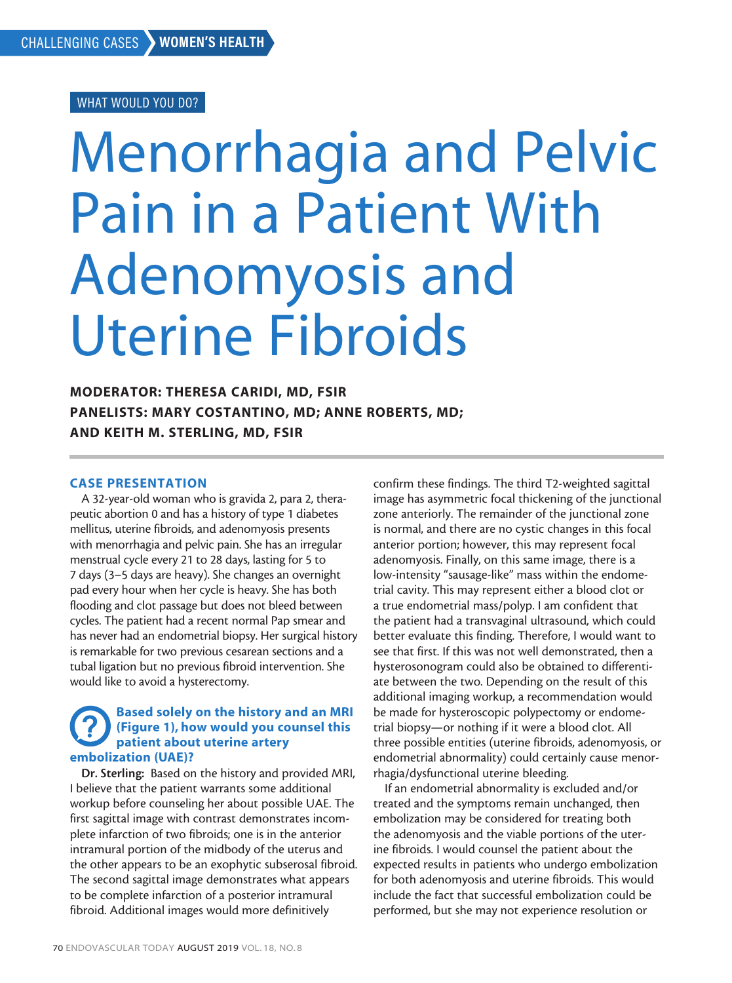# WHAT WOULD YOU DO?

# Menorrhagia and Pelvic Pain in a Patient With Adenomyosis and Uterine Fibroids

MODERATOR: THERESA CARIDI, MD, FSIR PANELISTS: MARY COSTANTINO, MD; ANNE ROBERTS, MD; AND KEITH M. STERLING, MD, FSIR

# CASE PRESENTATION

A 32-year-old woman who is gravida 2, para 2, therapeutic abortion 0 and has a history of type 1 diabetes mellitus, uterine fibroids, and adenomyosis presents with menorrhagia and pelvic pain. She has an irregular menstrual cycle every 21 to 28 days, lasting for 5 to 7 days (3–5 days are heavy). She changes an overnight pad every hour when her cycle is heavy. She has both flooding and clot passage but does not bleed between cycles. The patient had a recent normal Pap smear and has never had an endometrial biopsy. Her surgical history is remarkable for two previous cesarean sections and a tubal ligation but no previous fibroid intervention. She would like to avoid a hysterectomy.

# Based solely on the history and an MRI (Figure 1), how would you counsel this patient about uterine artery embolization (UAE)?

Dr. Sterling: Based on the history and provided MRI, I believe that the patient warrants some additional workup before counseling her about possible UAE. The first sagittal image with contrast demonstrates incomplete infarction of two fibroids; one is in the anterior intramural portion of the midbody of the uterus and the other appears to be an exophytic subserosal fibroid. The second sagittal image demonstrates what appears to be complete infarction of a posterior intramural fibroid. Additional images would more definitively

confirm these findings. The third T2-weighted sagittal image has asymmetric focal thickening of the junctional zone anteriorly. The remainder of the junctional zone is normal, and there are no cystic changes in this focal anterior portion; however, this may represent focal adenomyosis. Finally, on this same image, there is a low-intensity "sausage-like" mass within the endometrial cavity. This may represent either a blood clot or a true endometrial mass/polyp. I am confident that the patient had a transvaginal ultrasound, which could better evaluate this finding. Therefore, I would want to see that first. If this was not well demonstrated, then a hysterosonogram could also be obtained to differentiate between the two. Depending on the result of this additional imaging workup, a recommendation would be made for hysteroscopic polypectomy or endometrial biopsy—or nothing if it were a blood clot. All three possible entities (uterine fibroids, adenomyosis, or endometrial abnormality) could certainly cause menorrhagia/dysfunctional uterine bleeding.

If an endometrial abnormality is excluded and/or treated and the symptoms remain unchanged, then embolization may be considered for treating both the adenomyosis and the viable portions of the uterine fibroids. I would counsel the patient about the expected results in patients who undergo embolization for both adenomyosis and uterine fibroids. This would include the fact that successful embolization could be performed, but she may not experience resolution or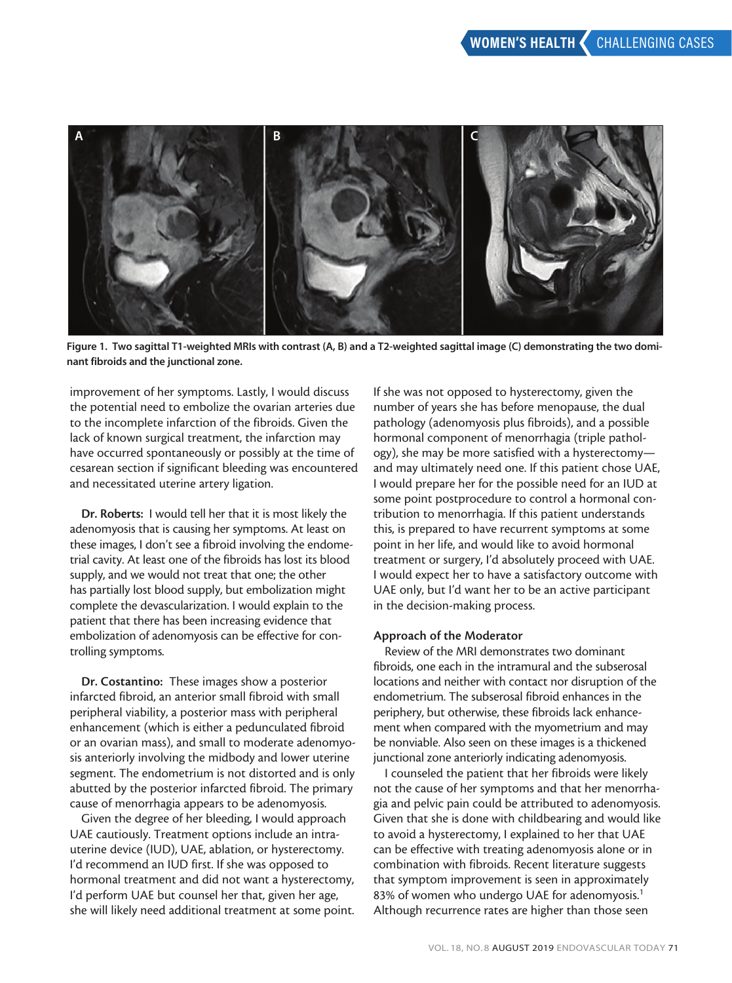

Figure 1. Two sagittal T1-weighted MRIs with contrast (A, B) and a T2-weighted sagittal image (C) demonstrating the two dominant fibroids and the junctional zone.

improvement of her symptoms. Lastly, I would discuss the potential need to embolize the ovarian arteries due to the incomplete infarction of the fibroids. Given the lack of known surgical treatment, the infarction may have occurred spontaneously or possibly at the time of cesarean section if significant bleeding was encountered and necessitated uterine artery ligation.

Dr. Roberts: I would tell her that it is most likely the adenomyosis that is causing her symptoms. At least on these images, I don't see a fibroid involving the endometrial cavity. At least one of the fibroids has lost its blood supply, and we would not treat that one; the other has partially lost blood supply, but embolization might complete the devascularization. I would explain to the patient that there has been increasing evidence that embolization of adenomyosis can be effective for controlling symptoms.

Dr. Costantino: These images show a posterior infarcted fibroid, an anterior small fibroid with small peripheral viability, a posterior mass with peripheral enhancement (which is either a pedunculated fibroid or an ovarian mass), and small to moderate adenomyosis anteriorly involving the midbody and lower uterine segment. The endometrium is not distorted and is only abutted by the posterior infarcted fibroid. The primary cause of menorrhagia appears to be adenomyosis.

Given the degree of her bleeding, I would approach UAE cautiously. Treatment options include an intrauterine device (IUD), UAE, ablation, or hysterectomy. I'd recommend an IUD first. If she was opposed to hormonal treatment and did not want a hysterectomy, I'd perform UAE but counsel her that, given her age, she will likely need additional treatment at some point. If she was not opposed to hysterectomy, given the number of years she has before menopause, the dual pathology (adenomyosis plus fibroids), and a possible hormonal component of menorrhagia (triple pathology), she may be more satisfied with a hysterectomy and may ultimately need one. If this patient chose UAE, I would prepare her for the possible need for an IUD at some point postprocedure to control a hormonal contribution to menorrhagia. If this patient understands this, is prepared to have recurrent symptoms at some point in her life, and would like to avoid hormonal treatment or surgery, I'd absolutely proceed with UAE. I would expect her to have a satisfactory outcome with UAE only, but I'd want her to be an active participant in the decision-making process.

### Approach of the Moderator

Review of the MRI demonstrates two dominant fibroids, one each in the intramural and the subserosal locations and neither with contact nor disruption of the endometrium. The subserosal fibroid enhances in the periphery, but otherwise, these fibroids lack enhancement when compared with the myometrium and may be nonviable. Also seen on these images is a thickened junctional zone anteriorly indicating adenomyosis.

I counseled the patient that her fibroids were likely not the cause of her symptoms and that her menorrhagia and pelvic pain could be attributed to adenomyosis. Given that she is done with childbearing and would like to avoid a hysterectomy, I explained to her that UAE can be effective with treating adenomyosis alone or in combination with fibroids. Recent literature suggests that symptom improvement is seen in approximately 83% of women who undergo UAE for adenomyosis.<sup>1</sup> Although recurrence rates are higher than those seen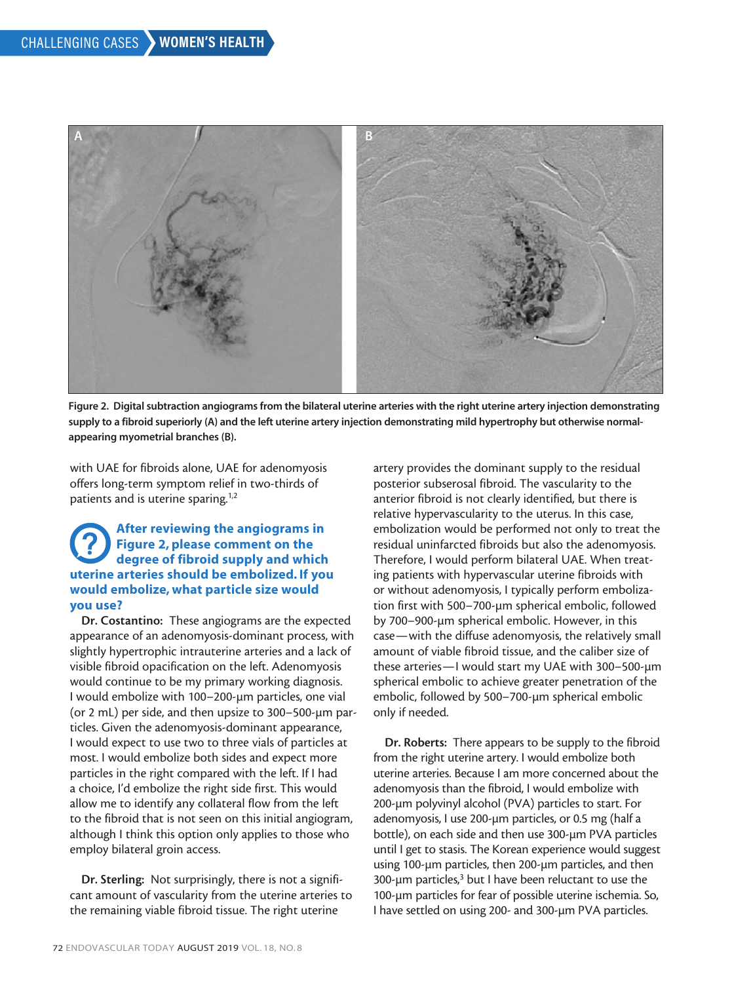

Figure 2. Digital subtraction angiograms from the bilateral uterine arteries with the right uterine artery injection demonstrating supply to a fibroid superiorly (A) and the left uterine artery injection demonstrating mild hypertrophy but otherwise normalappearing myometrial branches (B).

with UAE for fibroids alone, UAE for adenomyosis offers long-term symptom relief in two-thirds of patients and is uterine sparing.<sup>1,2</sup>

# After reviewing the angiograms in Figure 2, please comment on the degree of fibroid supply and which uterine arteries should be embolized. If you would embolize, what particle size would you use?

Dr. Costantino: These angiograms are the expected appearance of an adenomyosis-dominant process, with slightly hypertrophic intrauterine arteries and a lack of visible fibroid opacification on the left. Adenomyosis would continue to be my primary working diagnosis. I would embolize with 100–200-µm particles, one vial (or 2 mL) per side, and then upsize to 300–500-µm particles. Given the adenomyosis-dominant appearance, I would expect to use two to three vials of particles at most. I would embolize both sides and expect more particles in the right compared with the left. If I had a choice, I'd embolize the right side first. This would allow me to identify any collateral flow from the left to the fibroid that is not seen on this initial angiogram, although I think this option only applies to those who employ bilateral groin access.

Dr. Sterling: Not surprisingly, there is not a significant amount of vascularity from the uterine arteries to the remaining viable fibroid tissue. The right uterine

artery provides the dominant supply to the residual posterior subserosal fibroid. The vascularity to the anterior fibroid is not clearly identified, but there is relative hypervascularity to the uterus. In this case, embolization would be performed not only to treat the residual uninfarcted fibroids but also the adenomyosis. Therefore, I would perform bilateral UAE. When treating patients with hypervascular uterine fibroids with or without adenomyosis, I typically perform embolization first with 500–700-µm spherical embolic, followed by 700–900-µm spherical embolic. However, in this case—with the diffuse adenomyosis, the relatively small amount of viable fibroid tissue, and the caliber size of these arteries—I would start my UAE with 300–500-µm spherical embolic to achieve greater penetration of the embolic, followed by 500–700-µm spherical embolic only if needed.

Dr. Roberts: There appears to be supply to the fibroid from the right uterine artery. I would embolize both uterine arteries. Because I am more concerned about the adenomyosis than the fibroid, I would embolize with 200-µm polyvinyl alcohol (PVA) particles to start. For adenomyosis, I use 200-um particles, or 0.5 mg (half a bottle), on each side and then use 300-µm PVA particles until I get to stasis. The Korean experience would suggest using 100-µm particles, then 200-µm particles, and then 300-µm particles,<sup>3</sup> but I have been reluctant to use the 100-µm particles for fear of possible uterine ischemia. So, I have settled on using 200- and 300-µm PVA particles.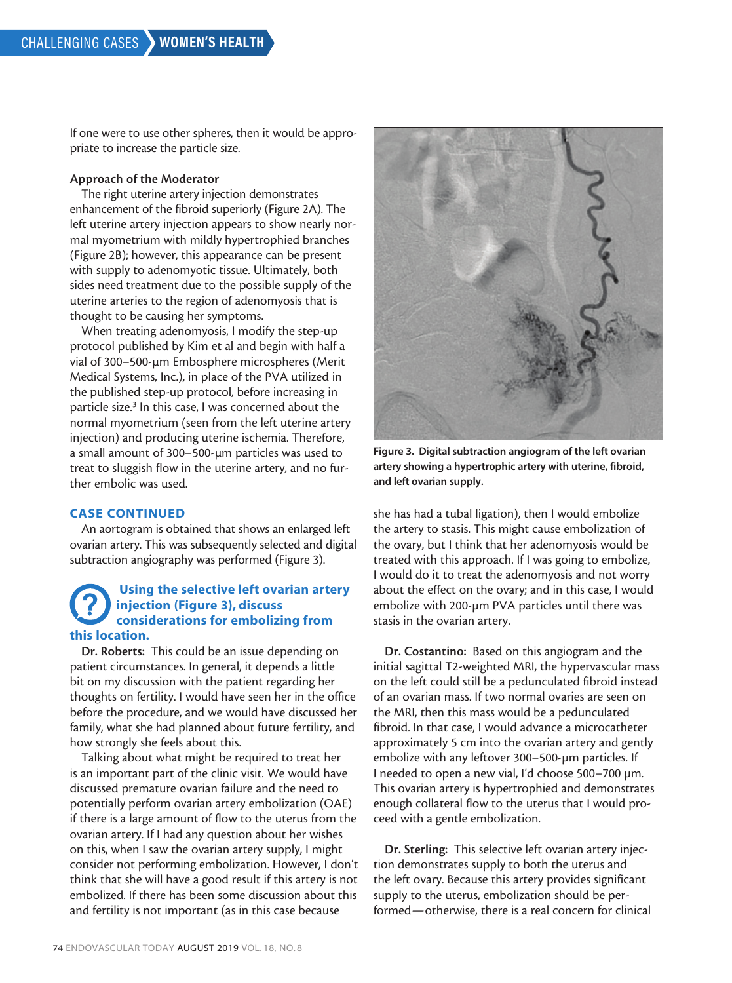If one were to use other spheres, then it would be appropriate to increase the particle size.

### Approach of the Moderator

The right uterine artery injection demonstrates enhancement of the fibroid superiorly (Figure 2A). The left uterine artery injection appears to show nearly normal myometrium with mildly hypertrophied branches (Figure 2B); however, this appearance can be present with supply to adenomyotic tissue. Ultimately, both sides need treatment due to the possible supply of the uterine arteries to the region of adenomyosis that is thought to be causing her symptoms.

When treating adenomyosis, I modify the step-up protocol published by Kim et al and begin with half a vial of 300–500-µm Embosphere microspheres (Merit Medical Systems, Inc.), in place of the PVA utilized in the published step-up protocol, before increasing in particle size.<sup>3</sup> In this case, I was concerned about the normal myometrium (seen from the left uterine artery injection) and producing uterine ischemia. Therefore, a small amount of 300–500-µm particles was used to treat to sluggish flow in the uterine artery, and no further embolic was used.

### CASE CONTINUED

An aortogram is obtained that shows an enlarged left ovarian artery. This was subsequently selected and digital subtraction angiography was performed (Figure 3).

# Using the selective left ovarian artery injection (Figure 3), discuss considerations for embolizing from this location.

Dr. Roberts: This could be an issue depending on patient circumstances. In general, it depends a little bit on my discussion with the patient regarding her thoughts on fertility. I would have seen her in the office before the procedure, and we would have discussed her family, what she had planned about future fertility, and how strongly she feels about this.

Talking about what might be required to treat her is an important part of the clinic visit. We would have discussed premature ovarian failure and the need to potentially perform ovarian artery embolization (OAE) if there is a large amount of flow to the uterus from the ovarian artery. If I had any question about her wishes on this, when I saw the ovarian artery supply, I might consider not performing embolization. However, I don't think that she will have a good result if this artery is not embolized. If there has been some discussion about this and fertility is not important (as in this case because



Figure 3. Digital subtraction angiogram of the left ovarian artery showing a hypertrophic artery with uterine, fibroid, and left ovarian supply.

she has had a tubal ligation), then I would embolize the artery to stasis. This might cause embolization of the ovary, but I think that her adenomyosis would be treated with this approach. If I was going to embolize, I would do it to treat the adenomyosis and not worry about the effect on the ovary; and in this case, I would embolize with 200-µm PVA particles until there was stasis in the ovarian artery.

Dr. Costantino: Based on this angiogram and the initial sagittal T2-weighted MRI, the hypervascular mass on the left could still be a pedunculated fibroid instead of an ovarian mass. If two normal ovaries are seen on the MRI, then this mass would be a pedunculated fibroid. In that case, I would advance a microcatheter approximately 5 cm into the ovarian artery and gently embolize with any leftover 300–500-µm particles. If I needed to open a new vial, I'd choose 500–700 µm. This ovarian artery is hypertrophied and demonstrates enough collateral flow to the uterus that I would proceed with a gentle embolization.

Dr. Sterling: This selective left ovarian artery injection demonstrates supply to both the uterus and the left ovary. Because this artery provides significant supply to the uterus, embolization should be performed—otherwise, there is a real concern for clinical